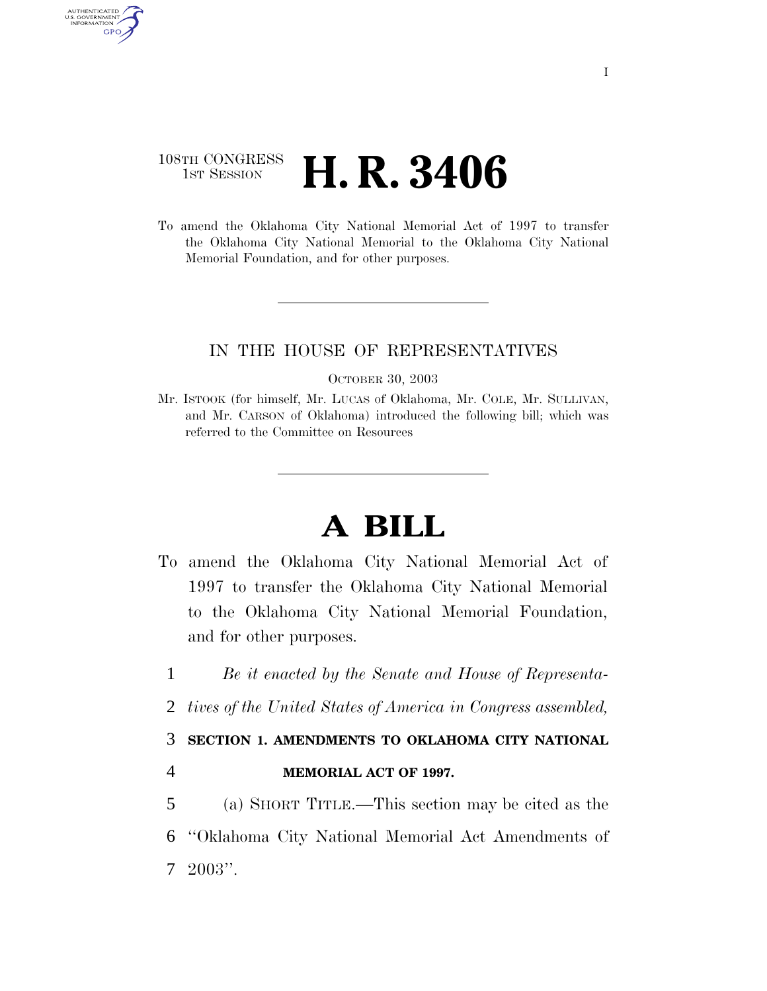## 108TH CONGRESS <sup>TH CONGRESS</sup> **H. R. 3406**

AUTHENTICATED U.S. GOVERNMENT GPO

> To amend the Oklahoma City National Memorial Act of 1997 to transfer the Oklahoma City National Memorial to the Oklahoma City National Memorial Foundation, and for other purposes.

## IN THE HOUSE OF REPRESENTATIVES

OCTOBER 30, 2003

Mr. ISTOOK (for himself, Mr. LUCAS of Oklahoma, Mr. COLE, Mr. SULLIVAN, and Mr. CARSON of Oklahoma) introduced the following bill; which was referred to the Committee on Resources

## **A BILL**

- To amend the Oklahoma City National Memorial Act of 1997 to transfer the Oklahoma City National Memorial to the Oklahoma City National Memorial Foundation, and for other purposes.
- 1 *Be it enacted by the Senate and House of Representa-*
- 2 *tives of the United States of America in Congress assembled,*

## 3 **SECTION 1. AMENDMENTS TO OKLAHOMA CITY NATIONAL**

4 **MEMORIAL ACT OF 1997.** 

5 (a) SHORT TITLE.—This section may be cited as the 6 ''Oklahoma City National Memorial Act Amendments of 7 2003''.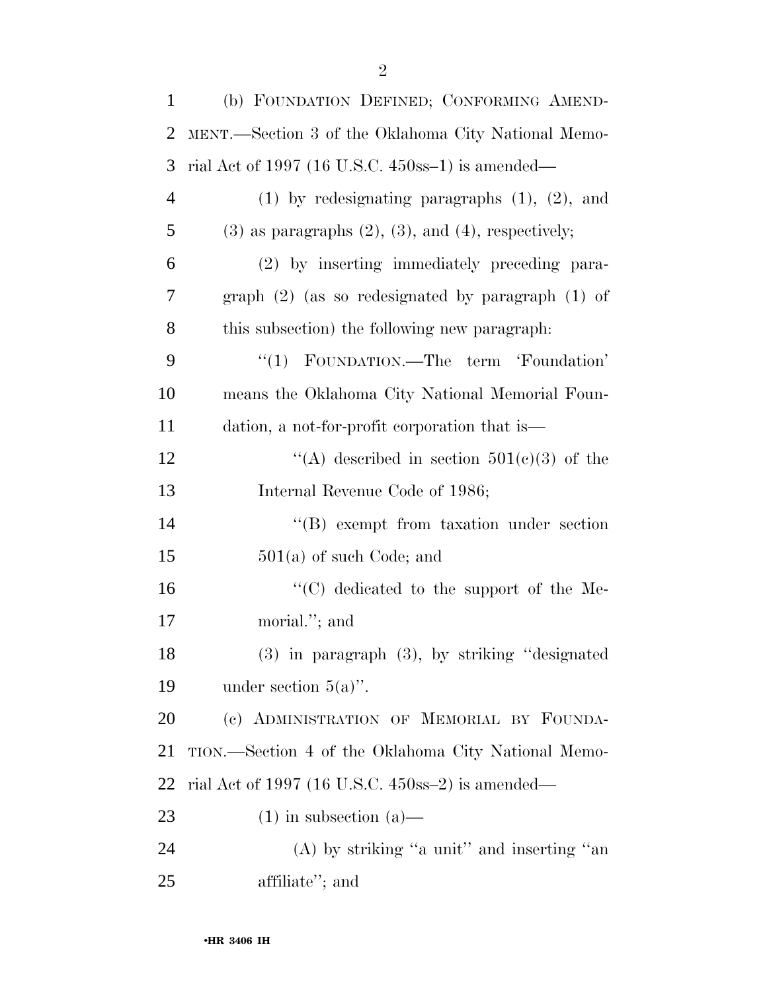| $\mathbf{1}$   | (b) FOUNDATION DEFINED; CONFORMING AMEND-                     |
|----------------|---------------------------------------------------------------|
| $\overline{2}$ | MENT.—Section 3 of the Oklahoma City National Memo-           |
| 3              | rial Act of 1997 (16 U.S.C. $450$ ss-1) is amended—           |
| $\overline{4}$ | $(1)$ by redesignating paragraphs $(1)$ , $(2)$ , and         |
| 5              | $(3)$ as paragraphs $(2)$ , $(3)$ , and $(4)$ , respectively; |
| 6              | (2) by inserting immediately preceding para-                  |
| 7              | graph $(2)$ (as so redesignated by paragraph $(1)$ of         |
| 8              | this subsection) the following new paragraph.                 |
| 9              | "(1) FOUNDATION.—The term 'Foundation'                        |
| 10             | means the Oklahoma City National Memorial Foun-               |
| 11             | dation, a not-for-profit corporation that is—                 |
| 12             | "(A) described in section $501(c)(3)$ of the                  |
| 13             | Internal Revenue Code of 1986;                                |
| 14             | $\lq\lq (B)$ exempt from taxation under section               |
| 15             | $501(a)$ of such Code; and                                    |
| 16             | "(C) dedicated to the support of the Me-                      |
| 17             | morial."; and                                                 |
| 18             | $(3)$ in paragraph $(3)$ , by striking "designated            |
| 19             | under section $5(a)$ ".                                       |
| 20             | (c) ADMINISTRATION OF MEMORIAL BY FOUNDA-                     |
| 21             | TION.—Section 4 of the Oklahoma City National Memo-           |
| 22             | rial Act of 1997 (16 U.S.C. $450$ ss-2) is amended—           |
| 23             | $(1)$ in subsection $(a)$ —                                   |
| 24             | $(A)$ by striking "a unit" and inserting "an                  |
| 25             | affiliate"; and                                               |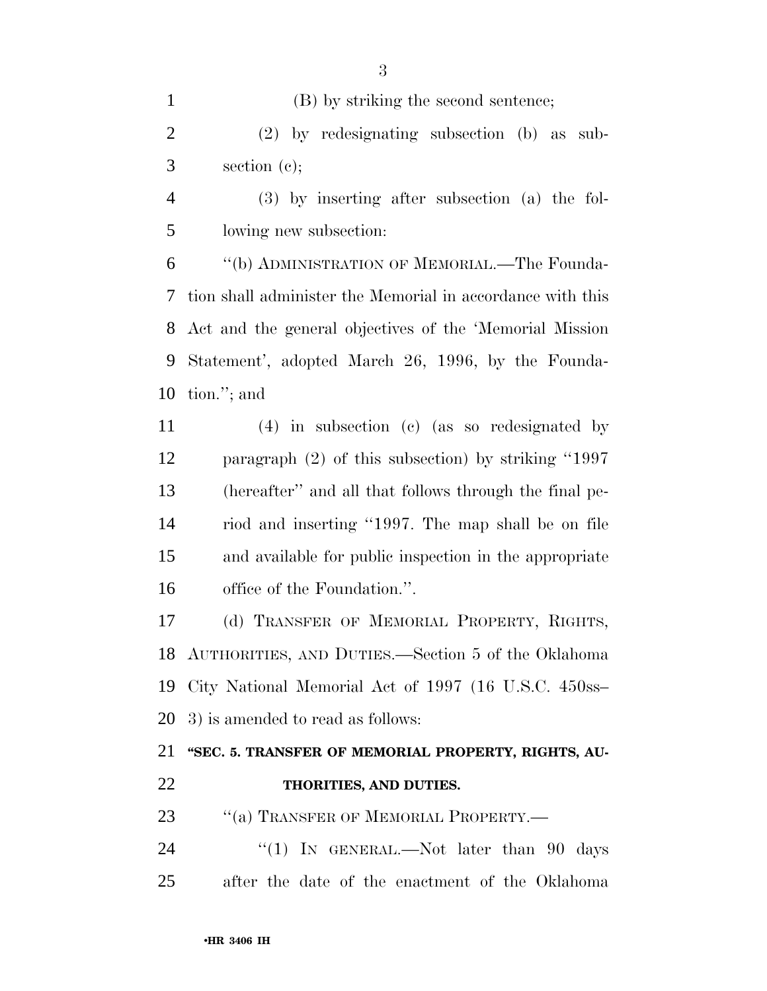(B) by striking the second sentence; (2) by redesignating subsection (b) as sub- section (c); (3) by inserting after subsection (a) the fol- lowing new subsection: ''(b) ADMINISTRATION OF MEMORIAL.—The Founda- tion shall administer the Memorial in accordance with this Act and the general objectives of the 'Memorial Mission Statement', adopted March 26, 1996, by the Founda- tion.''; and (4) in subsection (c) (as so redesignated by paragraph (2) of this subsection) by striking ''1997 (hereafter'' and all that follows through the final pe- riod and inserting ''1997. The map shall be on file and available for public inspection in the appropriate office of the Foundation.''. (d) TRANSFER OF MEMORIAL PROPERTY, RIGHTS, AUTHORITIES, AND DUTIES.—Section 5 of the Oklahoma City National Memorial Act of 1997 (16 U.S.C. 450ss– 3) is amended to read as follows: **''SEC. 5. TRANSFER OF MEMORIAL PROPERTY, RIGHTS, AU- THORITIES, AND DUTIES.**  23 "(a) TRANSFER OF MEMORIAL PROPERTY.— 24 "(1) IN GENERAL.—Not later than 90 days after the date of the enactment of the Oklahoma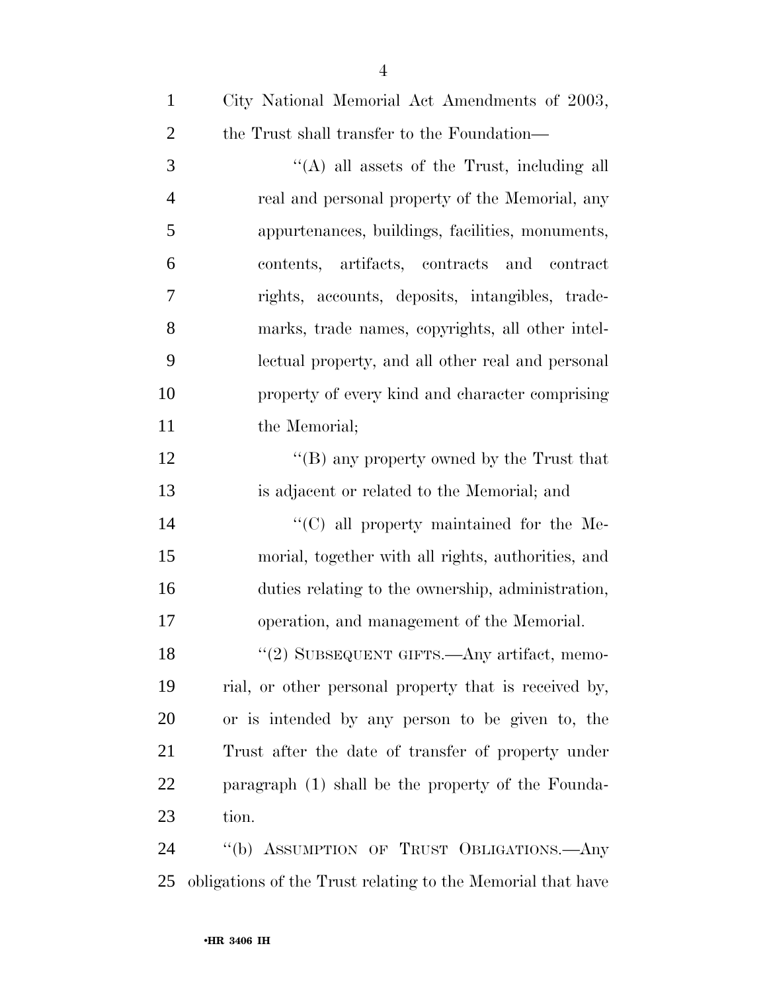| City National Memorial Act Amendments of 2003,        |
|-------------------------------------------------------|
| the Trust shall transfer to the Foundation—           |
| $\lq\lq$ (A) all assets of the Trust, including all   |
| real and personal property of the Memorial, any       |
| appurtenances, buildings, facilities, monuments,      |
| contents, artifacts, contracts and contract           |
| rights, accounts, deposits, intangibles, trade-       |
| marks, trade names, copyrights, all other intel-      |
| lectual property, and all other real and personal     |
| property of every kind and character comprising       |
| the Memorial;                                         |
| "(B) any property owned by the Trust that             |
| is adjacent or related to the Memorial; and           |
| $\lq\lq$ (C) all property maintained for the Me-      |
| morial, together with all rights, authorities, and    |
| duties relating to the ownership, administration,     |
| operation, and management of the Memorial.            |
| "(2) SUBSEQUENT GIFTS.—Any artifact, memo-            |
| rial, or other personal property that is received by, |
| or is intended by any person to be given to, the      |
| Trust after the date of transfer of property under    |
| paragraph (1) shall be the property of the Founda-    |
| tion.                                                 |
| "(b) ASSUMPTION OF TRUST OBLIGATIONS.- Any            |
|                                                       |

obligations of the Trust relating to the Memorial that have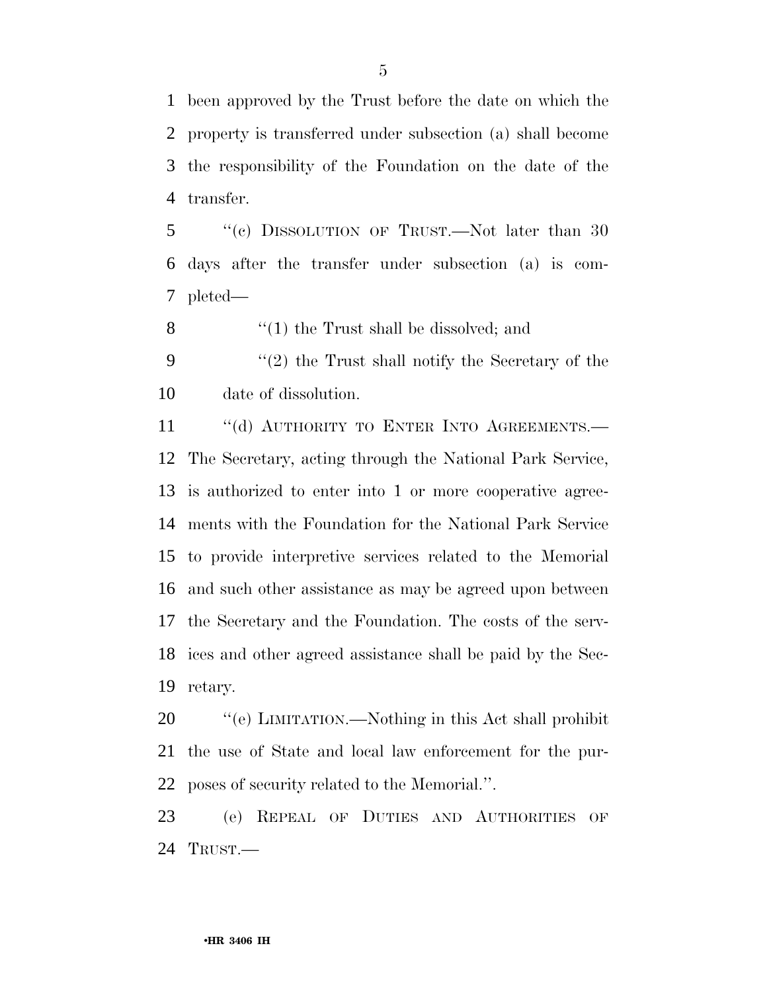been approved by the Trust before the date on which the property is transferred under subsection (a) shall become the responsibility of the Foundation on the date of the transfer.

 ''(c) DISSOLUTION OF TRUST.—Not later than 30 days after the transfer under subsection (a) is com-pleted—

8 ''(1) the Trust shall be dissolved; and

 ''(2) the Trust shall notify the Secretary of the date of dissolution.

11 "(d) AUTHORITY TO ENTER INTO AGREEMENTS. The Secretary, acting through the National Park Service, is authorized to enter into 1 or more cooperative agree- ments with the Foundation for the National Park Service to provide interpretive services related to the Memorial and such other assistance as may be agreed upon between the Secretary and the Foundation. The costs of the serv- ices and other agreed assistance shall be paid by the Sec-retary.

20  $\degree$  (e) LIMITATION.—Nothing in this Act shall prohibit the use of State and local law enforcement for the pur-poses of security related to the Memorial.''.

 (e) REPEAL OF DUTIES AND AUTHORITIES OF TRUST.—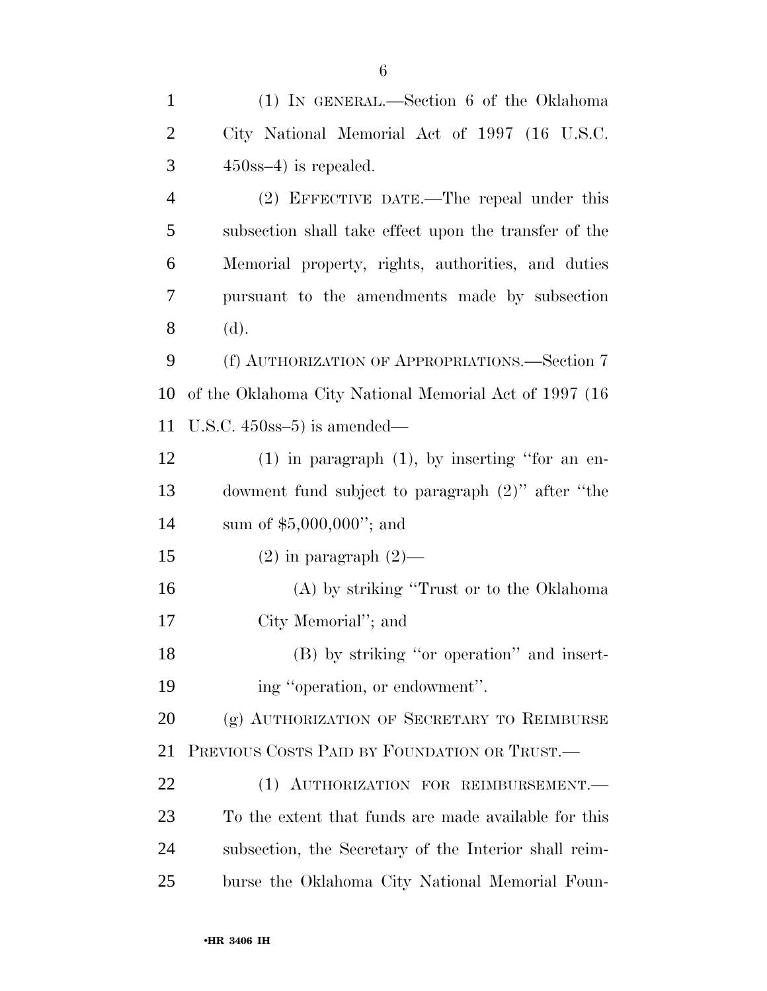| $\mathbf{1}$   | (1) IN GENERAL.—Section 6 of the Oklahoma               |
|----------------|---------------------------------------------------------|
| $\overline{2}$ | City National Memorial Act of 1997 (16 U.S.C.           |
| 3              | $450$ ss-4) is repealed.                                |
| $\overline{4}$ | (2) EFFECTIVE DATE.—The repeal under this               |
| 5              | subsection shall take effect upon the transfer of the   |
| 6              | Memorial property, rights, authorities, and duties      |
| 7              | pursuant to the amendments made by subsection           |
| 8              | (d).                                                    |
| 9              | (f) AUTHORIZATION OF APPROPRIATIONS.—Section 7          |
| 10             | of the Oklahoma City National Memorial Act of 1997 (16) |
| 11             | U.S.C. $450$ ss $-5$ ) is amended—                      |
| 12             | $(1)$ in paragraph $(1)$ , by inserting "for an en-     |
| 13             | dowment fund subject to paragraph (2)" after "the       |
| 14             | sum of $$5,000,000$ "; and                              |
| 15             | $(2)$ in paragraph $(2)$ —                              |
| 16             | (A) by striking "Trust or to the Oklahoma"              |
| 17             | City Memorial"; and                                     |
| 18             | (B) by striking "or operation" and insert-              |
| 19             | ing "operation, or endowment".                          |
| 20             | (g) AUTHORIZATION OF SECRETARY TO REIMBURSE             |
| 21             | PREVIOUS COSTS PAID BY FOUNDATION OR TRUST.             |
| 22             | (1) AUTHORIZATION FOR REIMBURSEMENT.                    |
| 23             | To the extent that funds are made available for this    |
| 24             | subsection, the Secretary of the Interior shall reim-   |
| 25             | burse the Oklahoma City National Memorial Foun-         |